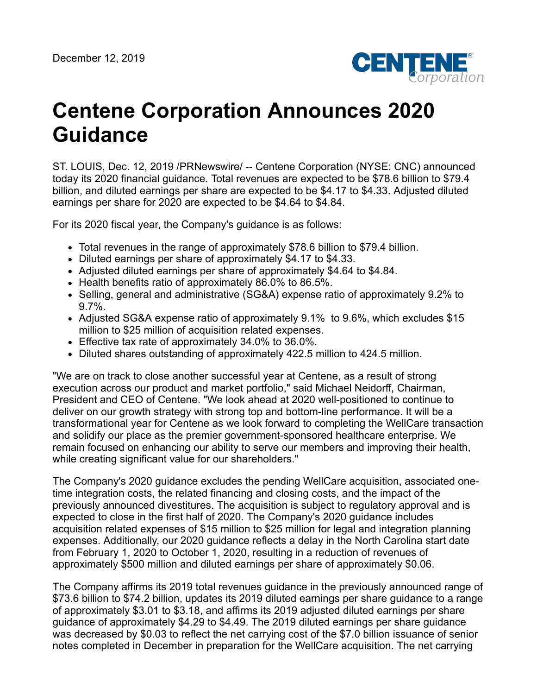

# **Centene Corporation Announces 2020 Guidance**

ST. LOUIS, Dec. 12, 2019 /PRNewswire/ -- Centene Corporation (NYSE: CNC) announced today its 2020 financial guidance. Total revenues are expected to be \$78.6 billion to \$79.4 billion, and diluted earnings per share are expected to be \$4.17 to \$4.33. Adjusted diluted earnings per share for 2020 are expected to be \$4.64 to \$4.84.

For its 2020 fiscal year, the Company's guidance is as follows:

- Total revenues in the range of approximately \$78.6 billion to \$79.4 billion.
- Diluted earnings per share of approximately \$4.17 to \$4.33.
- Adjusted diluted earnings per share of approximately \$4.64 to \$4.84.
- $\bullet$  Health benefits ratio of approximately 86.0% to 86.5%.
- Selling, general and administrative (SG&A) expense ratio of approximately 9.2% to 9.7%.
- Adjusted SG&A expense ratio of approximately 9.1% to 9.6%, which excludes \$15 million to \$25 million of acquisition related expenses.
- Effective tax rate of approximately 34.0% to 36.0%.
- Diluted shares outstanding of approximately 422.5 million to 424.5 million.

"We are on track to close another successful year at Centene, as a result of strong execution across our product and market portfolio," said Michael Neidorff, Chairman, President and CEO of Centene. "We look ahead at 2020 well-positioned to continue to deliver on our growth strategy with strong top and bottom-line performance. It will be a transformational year for Centene as we look forward to completing the WellCare transaction and solidify our place as the premier government-sponsored healthcare enterprise. We remain focused on enhancing our ability to serve our members and improving their health, while creating significant value for our shareholders."

The Company's 2020 guidance excludes the pending WellCare acquisition, associated onetime integration costs, the related financing and closing costs, and the impact of the previously announced divestitures. The acquisition is subject to regulatory approval and is expected to close in the first half of 2020. The Company's 2020 guidance includes acquisition related expenses of \$15 million to \$25 million for legal and integration planning expenses. Additionally, our 2020 guidance reflects a delay in the North Carolina start date from February 1, 2020 to October 1, 2020, resulting in a reduction of revenues of approximately \$500 million and diluted earnings per share of approximately \$0.06.

The Company affirms its 2019 total revenues guidance in the previously announced range of \$73.6 billion to \$74.2 billion, updates its 2019 diluted earnings per share guidance to a range of approximately \$3.01 to \$3.18, and affirms its 2019 adjusted diluted earnings per share guidance of approximately \$4.29 to \$4.49. The 2019 diluted earnings per share guidance was decreased by \$0.03 to reflect the net carrying cost of the \$7.0 billion issuance of senior notes completed in December in preparation for the WellCare acquisition. The net carrying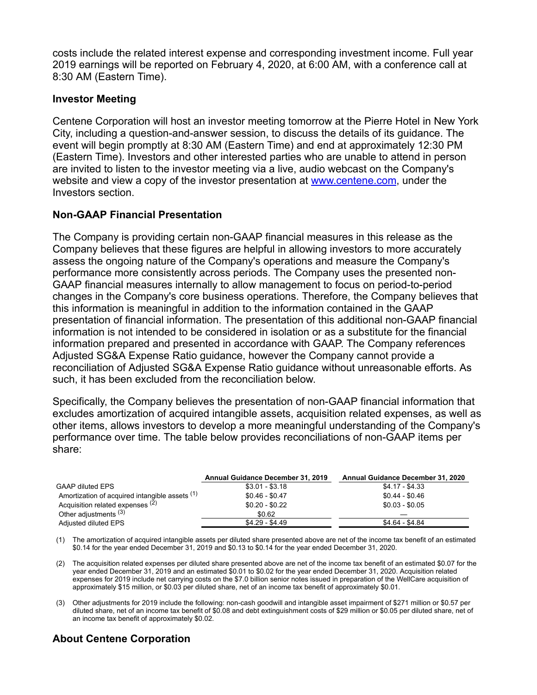costs include the related interest expense and corresponding investment income. Full year 2019 earnings will be reported on February 4, 2020, at 6:00 AM, with a conference call at 8:30 AM (Eastern Time).

#### **Investor Meeting**

Centene Corporation will host an investor meeting tomorrow at the Pierre Hotel in New York City, including a question-and-answer session, to discuss the details of its guidance. The event will begin promptly at 8:30 AM (Eastern Time) and end at approximately 12:30 PM (Eastern Time). Investors and other interested parties who are unable to attend in person are invited to listen to the investor meeting via a live, audio webcast on the Company's website and view a copy of the investor presentation at [www.centene.com](http://www.centene.com/), under the Investors section.

### **Non-GAAP Financial Presentation**

The Company is providing certain non-GAAP financial measures in this release as the Company believes that these figures are helpful in allowing investors to more accurately assess the ongoing nature of the Company's operations and measure the Company's performance more consistently across periods. The Company uses the presented non-GAAP financial measures internally to allow management to focus on period-to-period changes in the Company's core business operations. Therefore, the Company believes that this information is meaningful in addition to the information contained in the GAAP presentation of financial information. The presentation of this additional non-GAAP financial information is not intended to be considered in isolation or as a substitute for the financial information prepared and presented in accordance with GAAP. The Company references Adjusted SG&A Expense Ratio guidance, however the Company cannot provide a reconciliation of Adjusted SG&A Expense Ratio guidance without unreasonable efforts. As such, it has been excluded from the reconciliation below.

Specifically, the Company believes the presentation of non-GAAP financial information that excludes amortization of acquired intangible assets, acquisition related expenses, as well as other items, allows investors to develop a more meaningful understanding of the Company's performance over time. The table below provides reconciliations of non-GAAP items per share:

|                                                | Annual Guidance December 31, 2019 | Annual Guidance December 31, 2020 |
|------------------------------------------------|-----------------------------------|-----------------------------------|
| <b>GAAP diluted EPS</b>                        | $$3.01 - $3.18$                   | $$4.17 - $4.33$                   |
| Amortization of acquired intangible assets (1) | $$0.46 - $0.47$                   | $$0.44 - $0.46$                   |
| Acquisition related expenses (2)               | $$0.20 - $0.22$$                  | $$0.03 - $0.05$                   |
| Other adjustments (3)                          | \$0.62                            |                                   |
| Adjusted diluted EPS                           | $$4.29 - $4.49$                   | $$4.64 - $4.84$                   |

(1) The amortization of acquired intangible assets per diluted share presented above are net of the income tax benefit of an estimated \$0.14 for the year ended December 31, 2019 and \$0.13 to \$0.14 for the year ended December 31, 2020.

(2) The acquisition related expenses per diluted share presented above are net of the income tax benefit of an estimated \$0.07 for the year ended December 31, 2019 and an estimated \$0.01 to \$0.02 for the year ended December 31, 2020. Acquisition related expenses for 2019 include net carrying costs on the \$7.0 billion senior notes issued in preparation of the WellCare acquisition of approximately \$15 million, or \$0.03 per diluted share, net of an income tax benefit of approximately \$0.01.

(3) Other adjustments for 2019 include the following: non-cash goodwill and intangible asset impairment of \$271 million or \$0.57 per diluted share, net of an income tax benefit of \$0.08 and debt extinguishment costs of \$29 million or \$0.05 per diluted share, net of an income tax benefit of approximately \$0.02.

## **About Centene Corporation**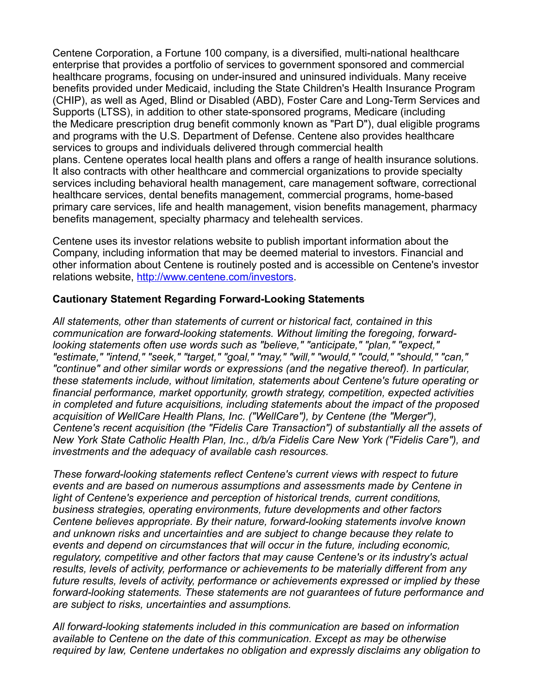Centene Corporation, a Fortune 100 company, is a diversified, multi-national healthcare enterprise that provides a portfolio of services to government sponsored and commercial healthcare programs, focusing on under-insured and uninsured individuals. Many receive benefits provided under Medicaid, including the State Children's Health Insurance Program (CHIP), as well as Aged, Blind or Disabled (ABD), Foster Care and Long-Term Services and Supports (LTSS), in addition to other state-sponsored programs, Medicare (including the Medicare prescription drug benefit commonly known as "Part D"), dual eligible programs and programs with the U.S. Department of Defense. Centene also provides healthcare services to groups and individuals delivered through commercial health plans. Centene operates local health plans and offers a range of health insurance solutions. It also contracts with other healthcare and commercial organizations to provide specialty services including behavioral health management, care management software, correctional healthcare services, dental benefits management, commercial programs, home-based primary care services, life and health management, vision benefits management, pharmacy benefits management, specialty pharmacy and telehealth services.

Centene uses its investor relations website to publish important information about the Company, including information that may be deemed material to investors. Financial and other information about Centene is routinely posted and is accessible on Centene's investor relations website, <http://www.centene.com/investors>.

### **Cautionary Statement Regarding Forward-Looking Statements**

*All statements, other than statements of current or historical fact, contained in this communication are forward-looking statements. Without limiting the foregoing, forwardlooking statements often use words such as "believe," "anticipate," "plan," "expect," "estimate," "intend," "seek," "target," "goal," "may," "will," "would," "could," "should," "can," "continue" and other similar words or expressions (and the negative thereof). In particular, these statements include, without limitation, statements about Centene's future operating or financial performance, market opportunity, growth strategy, competition, expected activities in completed and future acquisitions, including statements about the impact of the proposed acquisition of WellCare Health Plans, Inc. ("WellCare"), by Centene (the "Merger"), Centene's recent acquisition (the "Fidelis Care Transaction") of substantially all the assets of New York State Catholic Health Plan, Inc., d/b/a Fidelis Care New York ("Fidelis Care"), and investments and the adequacy of available cash resources.*

*These forward-looking statements reflect Centene's current views with respect to future events and are based on numerous assumptions and assessments made by Centene in light of Centene's experience and perception of historical trends, current conditions, business strategies, operating environments, future developments and other factors Centene believes appropriate. By their nature, forward-looking statements involve known and unknown risks and uncertainties and are subject to change because they relate to events and depend on circumstances that will occur in the future, including economic, regulatory, competitive and other factors that may cause Centene's or its industry's actual results, levels of activity, performance or achievements to be materially different from any future results, levels of activity, performance or achievements expressed or implied by these forward-looking statements. These statements are not guarantees of future performance and are subject to risks, uncertainties and assumptions.*

*All forward-looking statements included in this communication are based on information available to Centene on the date of this communication. Except as may be otherwise required by law, Centene undertakes no obligation and expressly disclaims any obligation to*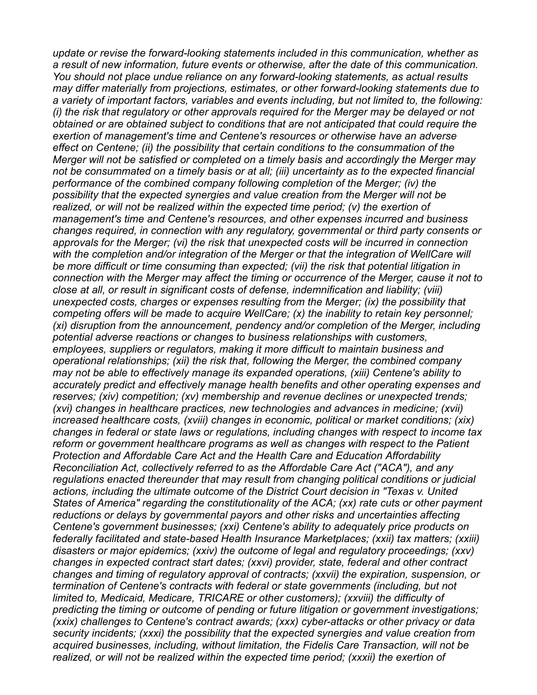*update or revise the forward-looking statements included in this communication, whether as a result of new information, future events or otherwise, after the date of this communication. You should not place undue reliance on any forward-looking statements, as actual results may differ materially from projections, estimates, or other forward-looking statements due to a variety of important factors, variables and events including, but not limited to, the following: (i) the risk that regulatory or other approvals required for the Merger may be delayed or not obtained or are obtained subject to conditions that are not anticipated that could require the exertion of management's time and Centene's resources or otherwise have an adverse effect on Centene; (ii) the possibility that certain conditions to the consummation of the Merger will not be satisfied or completed on a timely basis and accordingly the Merger may not be consummated on a timely basis or at all; (iii) uncertainty as to the expected financial performance of the combined company following completion of the Merger; (iv) the possibility that the expected synergies and value creation from the Merger will not be realized, or will not be realized within the expected time period; (v) the exertion of management's time and Centene's resources, and other expenses incurred and business changes required, in connection with any regulatory, governmental or third party consents or approvals for the Merger; (vi) the risk that unexpected costs will be incurred in connection* with the completion and/or integration of the Merger or that the integration of WellCare will *be more difficult or time consuming than expected; (vii) the risk that potential litigation in connection with the Merger may affect the timing or occurrence of the Merger, cause it not to close at all, or result in significant costs of defense, indemnification and liability; (viii) unexpected costs, charges or expenses resulting from the Merger; (ix) the possibility that competing offers will be made to acquire WellCare; (x) the inability to retain key personnel; (xi) disruption from the announcement, pendency and/or completion of the Merger, including potential adverse reactions or changes to business relationships with customers, employees, suppliers or regulators, making it more difficult to maintain business and operational relationships; (xii) the risk that, following the Merger, the combined company may not be able to effectively manage its expanded operations, (xiii) Centene's ability to accurately predict and effectively manage health benefits and other operating expenses and reserves; (xiv) competition; (xv) membership and revenue declines or unexpected trends; (xvi) changes in healthcare practices, new technologies and advances in medicine; (xvii) increased healthcare costs, (xviii) changes in economic, political or market conditions; (xix) changes in federal or state laws or regulations, including changes with respect to income tax reform or government healthcare programs as well as changes with respect to the Patient Protection and Affordable Care Act and the Health Care and Education Affordability Reconciliation Act, collectively referred to as the Affordable Care Act ("ACA"), and any regulations enacted thereunder that may result from changing political conditions or judicial actions, including the ultimate outcome of the District Court decision in "Texas v. United States of America" regarding the constitutionality of the ACA; (xx) rate cuts or other payment reductions or delays by governmental payors and other risks and uncertainties affecting Centene's government businesses; (xxi) Centene's ability to adequately price products on federally facilitated and state-based Health Insurance Marketplaces; (xxii) tax matters; (xxiii) disasters or major epidemics; (xxiv) the outcome of legal and regulatory proceedings; (xxv) changes in expected contract start dates; (xxvi) provider, state, federal and other contract changes and timing of regulatory approval of contracts; (xxvii) the expiration, suspension, or termination of Centene's contracts with federal or state governments (including, but not limited to, Medicaid, Medicare, TRICARE or other customers); (xxviii) the difficulty of predicting the timing or outcome of pending or future litigation or government investigations; (xxix) challenges to Centene's contract awards; (xxx) cyber-attacks or other privacy or data security incidents; (xxxi) the possibility that the expected synergies and value creation from acquired businesses, including, without limitation, the Fidelis Care Transaction, will not be realized, or will not be realized within the expected time period; (xxxii) the exertion of*